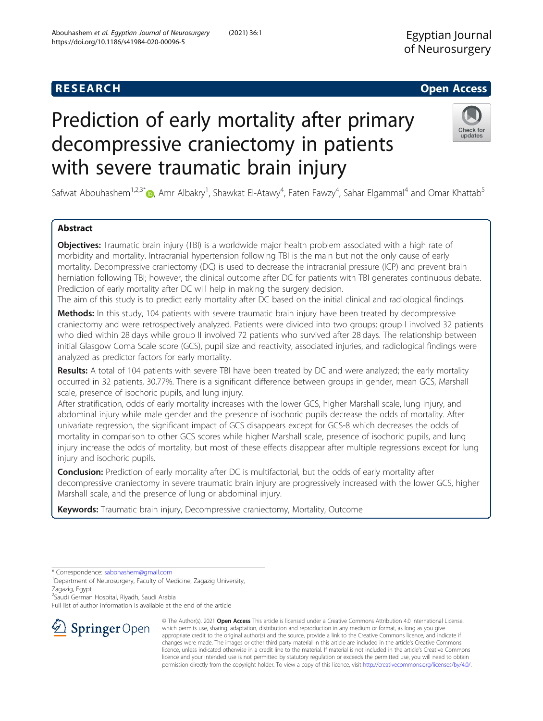# Prediction of early mortality after primary decompressive craniectomy in patients with severe traumatic brain injury

Safwat Abouhashem<sup>1[,](http://orcid.org/0000-0002-4328-1995)2,3\*</sup>@, Amr Albakry<sup>1</sup>, Shawkat El-Atawy<sup>4</sup>, Faten Fawzy<sup>4</sup>, Sahar Elgammal<sup>4</sup> and Omar Khattab<sup>5</sup>

# Abstract

Objectives: Traumatic brain injury (TBI) is a worldwide major health problem associated with a high rate of morbidity and mortality. Intracranial hypertension following TBI is the main but not the only cause of early mortality. Decompressive craniectomy (DC) is used to decrease the intracranial pressure (ICP) and prevent brain herniation following TBI; however, the clinical outcome after DC for patients with TBI generates continuous debate. Prediction of early mortality after DC will help in making the surgery decision.

The aim of this study is to predict early mortality after DC based on the initial clinical and radiological findings.

Methods: In this study, 104 patients with severe traumatic brain injury have been treated by decompressive craniectomy and were retrospectively analyzed. Patients were divided into two groups; group I involved 32 patients who died within 28 days while group II involved 72 patients who survived after 28 days. The relationship between initial Glasgow Coma Scale score (GCS), pupil size and reactivity, associated injuries, and radiological findings were analyzed as predictor factors for early mortality.

Results: A total of 104 patients with severe TBI have been treated by DC and were analyzed; the early mortality occurred in 32 patients, 30.77%. There is a significant difference between groups in gender, mean GCS, Marshall scale, presence of isochoric pupils, and lung injury.

After stratification, odds of early mortality increases with the lower GCS, higher Marshall scale, lung injury, and abdominal injury while male gender and the presence of isochoric pupils decrease the odds of mortality. After univariate regression, the significant impact of GCS disappears except for GCS-8 which decreases the odds of mortality in comparison to other GCS scores while higher Marshall scale, presence of isochoric pupils, and lung injury increase the odds of mortality, but most of these effects disappear after multiple regressions except for lung injury and isochoric pupils.

Conclusion: Prediction of early mortality after DC is multifactorial, but the odds of early mortality after decompressive craniectomy in severe traumatic brain injury are progressively increased with the lower GCS, higher Marshall scale, and the presence of lung or abdominal injury.

Keywords: Traumatic brain injury, Decompressive craniectomy, Mortality, Outcome

2 Saudi German Hospital, Riyadh, Saudi Arabia



© The Author(s). 2021 Open Access This article is licensed under a Creative Commons Attribution 4.0 International License, which permits use, sharing, adaptation, distribution and reproduction in any medium or format, as long as you give appropriate credit to the original author(s) and the source, provide a link to the Creative Commons licence, and indicate if changes were made. The images or other third party material in this article are included in the article's Creative Commons licence, unless indicated otherwise in a credit line to the material. If material is not included in the article's Creative Commons licence and your intended use is not permitted by statutory regulation or exceeds the permitted use, you will need to obtain permission directly from the copyright holder. To view a copy of this licence, visit <http://creativecommons.org/licenses/by/4.0/>.





<sup>\*</sup> Correspondence: [sabohashem@gmail.com](mailto:sabohashem@gmail.com) <sup>1</sup>

<sup>&</sup>lt;sup>1</sup>Department of Neurosurgery, Faculty of Medicine, Zagazig University, Zagazig, Egypt

Full list of author information is available at the end of the article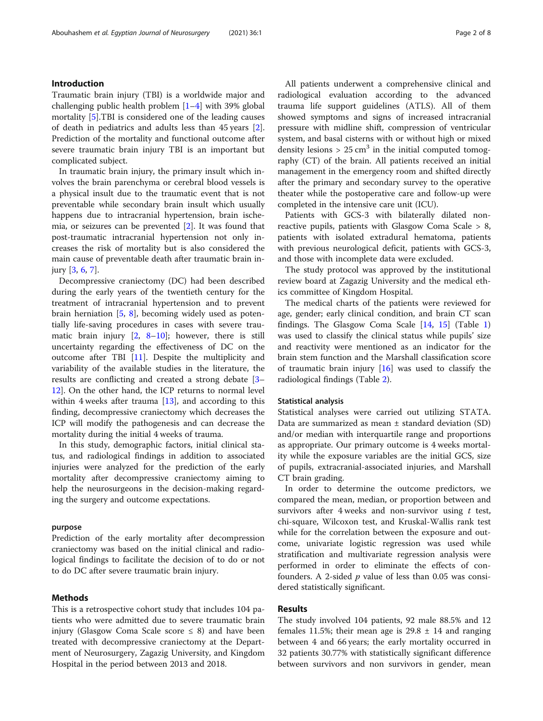## Introduction

Traumatic brain injury (TBI) is a worldwide major and challenging public health problem [\[1](#page-7-0)–[4](#page-7-0)] with 39% global mortality [\[5](#page-7-0)].TBI is considered one of the leading causes of death in pediatrics and adults less than 45 years [\[2](#page-7-0)]. Prediction of the mortality and functional outcome after severe traumatic brain injury TBI is an important but complicated subject.

In traumatic brain injury, the primary insult which involves the brain parenchyma or cerebral blood vessels is a physical insult due to the traumatic event that is not preventable while secondary brain insult which usually happens due to intracranial hypertension, brain ischemia, or seizures can be prevented [\[2](#page-7-0)]. It was found that post-traumatic intracranial hypertension not only increases the risk of mortality but is also considered the main cause of preventable death after traumatic brain injury [[3,](#page-7-0) [6,](#page-7-0) [7\]](#page-7-0).

Decompressive craniectomy (DC) had been described during the early years of the twentieth century for the treatment of intracranial hypertension and to prevent brain herniation [[5,](#page-7-0) [8](#page-7-0)], becoming widely used as potentially life-saving procedures in cases with severe traumatic brain injury  $[2, 8-10]$  $[2, 8-10]$  $[2, 8-10]$  $[2, 8-10]$  $[2, 8-10]$  $[2, 8-10]$  $[2, 8-10]$ ; however, there is still uncertainty regarding the effectiveness of DC on the outcome after TBI [\[11\]](#page-7-0). Despite the multiplicity and variability of the available studies in the literature, the results are conflicting and created a strong debate [[3](#page-7-0)– [12\]](#page-7-0). On the other hand, the ICP returns to normal level within 4 weeks after trauma [[13\]](#page-7-0), and according to this finding, decompressive craniectomy which decreases the ICP will modify the pathogenesis and can decrease the mortality during the initial 4 weeks of trauma.

In this study, demographic factors, initial clinical status, and radiological findings in addition to associated injuries were analyzed for the prediction of the early mortality after decompressive craniectomy aiming to help the neurosurgeons in the decision-making regarding the surgery and outcome expectations.

#### purpose

Prediction of the early mortality after decompression craniectomy was based on the initial clinical and radiological findings to facilitate the decision of to do or not to do DC after severe traumatic brain injury.

# Methods

This is a retrospective cohort study that includes 104 patients who were admitted due to severe traumatic brain injury (Glasgow Coma Scale score  $\leq 8$ ) and have been treated with decompressive craniectomy at the Department of Neurosurgery, Zagazig University, and Kingdom Hospital in the period between 2013 and 2018.

All patients underwent a comprehensive clinical and radiological evaluation according to the advanced trauma life support guidelines (ATLS). All of them showed symptoms and signs of increased intracranial pressure with midline shift, compression of ventricular system, and basal cisterns with or without high or mixed density lesions >  $25 \text{ cm}^3$  in the initial computed tomography (CT) of the brain. All patients received an initial management in the emergency room and shifted directly after the primary and secondary survey to the operative theater while the postoperative care and follow-up were

Patients with GCS-3 with bilaterally dilated nonreactive pupils, patients with Glasgow Coma Scale > 8, patients with isolated extradural hematoma, patients with previous neurological deficit, patients with GCS-3, and those with incomplete data were excluded.

completed in the intensive care unit (ICU).

The study protocol was approved by the institutional review board at Zagazig University and the medical ethics committee of Kingdom Hospital.

The medical charts of the patients were reviewed for age, gender; early clinical condition, and brain CT scan findings. The Glasgow Coma Scale [\[14,](#page-7-0) [15\]](#page-7-0) (Table [1](#page-2-0)) was used to classify the clinical status while pupils' size and reactivity were mentioned as an indicator for the brain stem function and the Marshall classification score of traumatic brain injury  $[16]$  $[16]$  was used to classify the radiological findings (Table [2](#page-2-0)).

### Statistical analysis

Statistical analyses were carried out utilizing STATA. Data are summarized as mean  $\pm$  standard deviation (SD) and/or median with interquartile range and proportions as appropriate. Our primary outcome is 4 weeks mortality while the exposure variables are the initial GCS, size of pupils, extracranial-associated injuries, and Marshall CT brain grading.

In order to determine the outcome predictors, we compared the mean, median, or proportion between and survivors after  $4$  weeks and non-survivor using  $t$  test, chi-square, Wilcoxon test, and Kruskal-Wallis rank test while for the correlation between the exposure and outcome, univariate logistic regression was used while stratification and multivariate regression analysis were performed in order to eliminate the effects of confounders. A 2-sided  $p$  value of less than 0.05 was considered statistically significant.

### Results

The study involved 104 patients, 92 male 88.5% and 12 females 11.5%; their mean age is  $29.8 \pm 14$  and ranging between 4 and 66 years; the early mortality occurred in 32 patients 30.77% with statistically significant difference between survivors and non survivors in gender, mean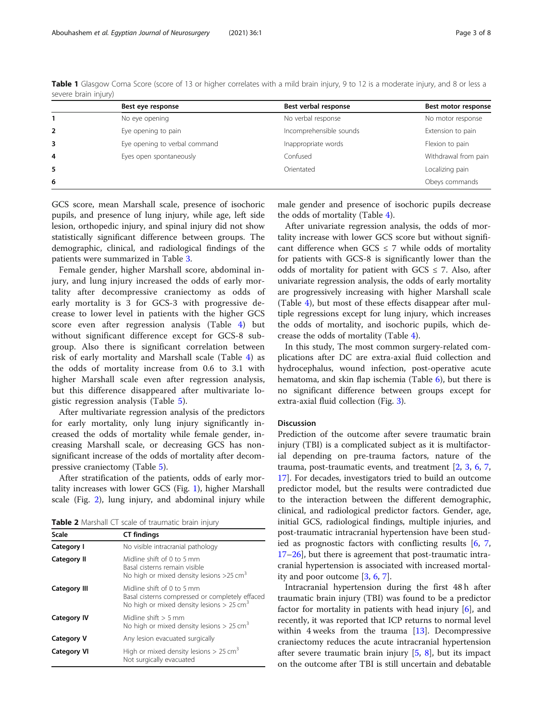|                | Best eye response             | Best verbal response    | Best motor response  |
|----------------|-------------------------------|-------------------------|----------------------|
|                | No eye opening                | No verbal response      | No motor response    |
| $\overline{2}$ | Eye opening to pain           | Incomprehensible sounds | Extension to pain    |
| 3              | Eye opening to verbal command | Inappropriate words     | Flexion to pain      |
| 4              | Eyes open spontaneously       | Confused                | Withdrawal from pain |
| 5              |                               | Orientated              | Localizing pain      |
| 6              |                               |                         | Obeys commands       |
|                |                               |                         |                      |

<span id="page-2-0"></span>Table 1 Glasgow Coma Score (score of 13 or higher correlates with a mild brain injury, 9 to 12 is a moderate injury, and 8 or less a severe brain injury)

GCS score, mean Marshall scale, presence of isochoric pupils, and presence of lung injury, while age, left side lesion, orthopedic injury, and spinal injury did not show statistically significant difference between groups. The demographic, clinical, and radiological findings of the patients were summarized in Table [3.](#page-3-0)

Female gender, higher Marshall score, abdominal injury, and lung injury increased the odds of early mortality after decompressive craniectomy as odds of early mortality is 3 for GCS-3 with progressive decrease to lower level in patients with the higher GCS score even after regression analysis (Table [4](#page-3-0)) but without significant difference except for GCS-8 subgroup. Also there is significant correlation between risk of early mortality and Marshall scale (Table [4\)](#page-3-0) as the odds of mortality increase from 0.6 to 3.1 with higher Marshall scale even after regression analysis, but this difference disappeared after multivariate logistic regression analysis (Table [5](#page-4-0)).

After multivariate regression analysis of the predictors for early mortality, only lung injury significantly increased the odds of mortality while female gender, increasing Marshall scale, or decreasing GCS has nonsignificant increase of the odds of mortality after decompressive craniectomy (Table [5](#page-4-0)).

After stratification of the patients, odds of early mortality increases with lower GCS (Fig. [1\)](#page-4-0), higher Marshall scale (Fig. [2\)](#page-5-0), lung injury, and abdominal injury while

Table 2 Marshall CT scale of traumatic brain injury

| Scale               | <b>CT</b> findings                                                                                                                       |
|---------------------|------------------------------------------------------------------------------------------------------------------------------------------|
| Category I          | No visible intracranial pathology                                                                                                        |
| <b>Category II</b>  | Midline shift of 0 to 5 mm<br>Basal cisterns remain visible<br>No high or mixed density lesions >25 cm <sup>3</sup>                      |
| <b>Category III</b> | Midline shift of 0 to 5 mm<br>Basal cisterns compressed or completely effaced<br>No high or mixed density lesions $> 25$ cm <sup>3</sup> |
| <b>Category IV</b>  | Midline shift $> 5$ mm<br>No high or mixed density lesions $> 25$ cm <sup>3</sup>                                                        |
| <b>Category V</b>   | Any lesion evacuated surgically                                                                                                          |
| <b>Category VI</b>  | High or mixed density lesions $> 25$ cm <sup>3</sup><br>Not surgically evacuated                                                         |

male gender and presence of isochoric pupils decrease the odds of mortality (Table [4\)](#page-3-0).

After univariate regression analysis, the odds of mortality increase with lower GCS score but without significant difference when GCS  $\leq$  7 while odds of mortality for patients with GCS-8 is significantly lower than the odds of mortality for patient with GCS  $\leq$  7. Also, after univariate regression analysis, the odds of early mortality are progressively increasing with higher Marshall scale (Table [4](#page-3-0)), but most of these effects disappear after multiple regressions except for lung injury, which increases the odds of mortality, and isochoric pupils, which decrease the odds of mortality (Table [4\)](#page-3-0).

In this study, The most common surgery-related complications after DC are extra-axial fluid collection and hydrocephalus, wound infection, post-operative acute hematoma, and skin flap ischemia (Table [6\)](#page-5-0), but there is no significant difference between groups except for extra-axial fluid collection (Fig. [3\)](#page-6-0).

# Discussion

Prediction of the outcome after severe traumatic brain injury (TBI) is a complicated subject as it is multifactorial depending on pre-trauma factors, nature of the trauma, post-traumatic events, and treatment [[2,](#page-7-0) [3](#page-7-0), [6,](#page-7-0) [7](#page-7-0), [17\]](#page-7-0). For decades, investigators tried to build an outcome predictor model, but the results were contradicted due to the interaction between the different demographic, clinical, and radiological predictor factors. Gender, age, initial GCS, radiological findings, multiple injuries, and post-traumatic intracranial hypertension have been studied as prognostic factors with conflicting results [[6,](#page-7-0) [7](#page-7-0), [17](#page-7-0)–[26](#page-7-0)], but there is agreement that post-traumatic intracranial hypertension is associated with increased mortality and poor outcome [[3,](#page-7-0) [6,](#page-7-0) [7\]](#page-7-0).

Intracranial hypertension during the first 48 h after traumatic brain injury (TBI) was found to be a predictor factor for mortality in patients with head injury [[6\]](#page-7-0), and recently, it was reported that ICP returns to normal level within 4 weeks from the trauma [\[13\]](#page-7-0). Decompressive craniectomy reduces the acute intracranial hypertension after severe traumatic brain injury [[5,](#page-7-0) [8\]](#page-7-0), but its impact on the outcome after TBI is still uncertain and debatable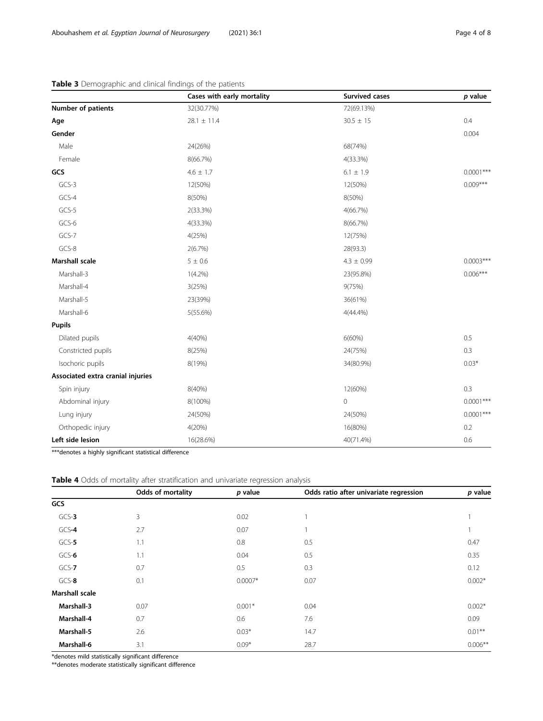# <span id="page-3-0"></span>Table 3 Demographic and clinical findings of the patients

|                                   | Cases with early mortality | <b>Survived cases</b> | p value     |
|-----------------------------------|----------------------------|-----------------------|-------------|
| Number of patients                | 32(30.77%)                 | 72(69.13%)            |             |
| Age                               | $28.1 \pm 11.4$            | $30.5 \pm 15$         | 0.4         |
| Gender                            |                            |                       | 0.004       |
| Male                              | 24(26%)                    | 68(74%)               |             |
| Female                            | 8(66.7%)                   | 4(33.3%)              |             |
| GCS                               | $4.6 \pm 1.7$              | $6.1 \pm 1.9$         | $0.0001***$ |
| $GCS-3$                           | 12(50%)                    | 12(50%)               | $0.009***$  |
| GCS-4                             | 8(50%)                     | 8(50%)                |             |
| GCS-5                             | $2(33.3\%)$                | 4(66.7%)              |             |
| GCS-6                             | 4(33.3%)                   | 8(66.7%)              |             |
| $GCS-7$                           | 4(25%)                     | 12(75%)               |             |
| $GCS-8$                           | 2(6.7%)                    | 28(93.3)              |             |
| <b>Marshall scale</b>             | $5 \pm 0.6$                | $4.3 \pm 0.99$        | $0.0003***$ |
| Marshall-3                        | $1(4.2\%)$                 | 23(95.8%)             | $0.006***$  |
| Marshall-4                        | 3(25%)                     | 9(75%)                |             |
| Marshall-5                        | 23(39%)                    | 36(61%)               |             |
| Marshall-6                        | 5(55.6%)                   | $4(44.4\%)$           |             |
| <b>Pupils</b>                     |                            |                       |             |
| Dilated pupils                    | 4(40%)                     | 6(60%)                | 0.5         |
| Constricted pupils                | 8(25%)                     | 24(75%)               | 0.3         |
| Isochoric pupils                  | 8(19%)                     | 34(80.9%)             | $0.03*$     |
| Associated extra cranial injuries |                            |                       |             |
| Spin injury                       | 8(40%)                     | 12(60%)               | 0.3         |
| Abdominal injury                  | 8(100%)                    | $\mathsf{O}\xspace$   | $0.0001***$ |
| Lung injury                       | 24(50%)                    | 24(50%)               | $0.0001***$ |
| Orthopedic injury                 | 4(20%)                     | 16(80%)               | 0.2         |
| Left side lesion                  | 16(28.6%)                  | 40(71.4%)             | 0.6         |

\*\*\*denotes a highly significant statistical difference

Table 4 Odds of mortality after stratification and univariate regression analysis

|                       | Odds of mortality | $p$ value | Odds ratio after univariate regression | p value   |
|-----------------------|-------------------|-----------|----------------------------------------|-----------|
| GCS                   |                   |           |                                        |           |
| $GCS-3$               | 3                 | 0.02      |                                        |           |
| $GCS-4$               | 2.7               | 0.07      |                                        |           |
| $GCS-5$               | 1.1               | 0.8       | 0.5                                    | 0.47      |
| $GCS-6$               | 1.1               | 0.04      | 0.5                                    | 0.35      |
| $GCS-7$               | 0.7               | 0.5       | 0.3                                    | 0.12      |
| $GCS-8$               | 0.1               | $0.0007*$ | 0.07                                   | $0.002*$  |
| <b>Marshall scale</b> |                   |           |                                        |           |
| Marshall-3            | 0.07              | $0.001*$  | 0.04                                   | $0.002*$  |
| Marshall-4            | 0.7               | 0.6       | 7.6                                    | 0.09      |
| Marshall-5            | 2.6               | $0.03*$   | 14.7                                   | $0.01***$ |
| Marshall-6            | 3.1               | $0.09*$   | 28.7                                   | $0.006**$ |

\*denotes mild statistically significant difference

\*\*denotes moderate statistically significant difference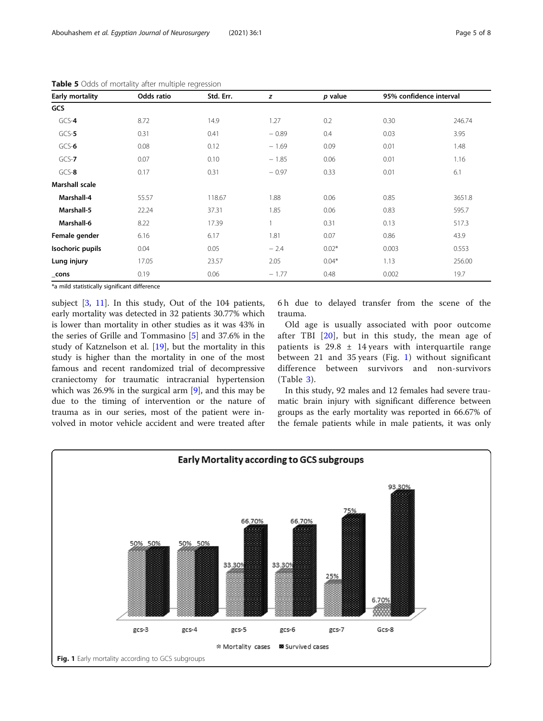| Early mortality  | Odds ratio | Std. Err. | z       | p value | 95% confidence interval |        |
|------------------|------------|-----------|---------|---------|-------------------------|--------|
| GCS              |            |           |         |         |                         |        |
| $GCS-4$          | 8.72       | 14.9      | 1.27    | 0.2     | 0.30                    | 246.74 |
| $GCS-5$          | 0.31       | 0.41      | $-0.89$ | 0.4     | 0.03                    | 3.95   |
| $GCS-6$          | 0.08       | 0.12      | $-1.69$ | 0.09    | 0.01                    | 1.48   |
| $GCS-7$          | 0.07       | 0.10      | $-1.85$ | 0.06    | 0.01                    | 1.16   |
| $GCS-8$          | 0.17       | 0.31      | $-0.97$ | 0.33    | 0.01                    | 6.1    |
| Marshall scale   |            |           |         |         |                         |        |
| Marshall-4       | 55.57      | 118.67    | 1.88    | 0.06    | 0.85                    | 3651.8 |
| Marshall-5       | 22.24      | 37.31     | 1.85    | 0.06    | 0.83                    | 595.7  |
| Marshall-6       | 8.22       | 17.39     | 1       | 0.31    | 0.13                    | 517.3  |
| Female gender    | 6.16       | 6.17      | 1.81    | 0.07    | 0.86                    | 43.9   |
| Isochoric pupils | 0.04       | 0.05      | $-2.4$  | $0.02*$ | 0.003                   | 0.553  |
| Lung injury      | 17.05      | 23.57     | 2.05    | $0.04*$ | 1.13                    | 256.00 |
| $\_cons$         | 0.19       | 0.06      | $-1.77$ | 0.48    | 0.002                   | 19.7   |

<span id="page-4-0"></span>Table 5 Odds of mortality after multiple regression

\*a mild statistically significant difference

subject [\[3](#page-7-0), [11\]](#page-7-0). In this study, Out of the 104 patients, early mortality was detected in 32 patients 30.77% which is lower than mortality in other studies as it was 43% in the series of Grille and Tommasino [[5\]](#page-7-0) and 37.6% in the study of Katznelson et al. [\[19\]](#page-7-0), but the mortality in this study is higher than the mortality in one of the most famous and recent randomized trial of decompressive craniectomy for traumatic intracranial hypertension which was 26.9% in the surgical arm [\[9](#page-7-0)], and this may be due to the timing of intervention or the nature of trauma as in our series, most of the patient were involved in motor vehicle accident and were treated after 6 h due to delayed transfer from the scene of the trauma.

Old age is usually associated with poor outcome after TBI  $[20]$  $[20]$  $[20]$ , but in this study, the mean age of patients is  $29.8 \pm 14$  years with interquartile range between 21 and 35 years (Fig. 1) without significant difference between survivors and non-survivors (Table [3](#page-3-0)).

In this study, 92 males and 12 females had severe traumatic brain injury with significant difference between groups as the early mortality was reported in 66.67% of the female patients while in male patients, it was only

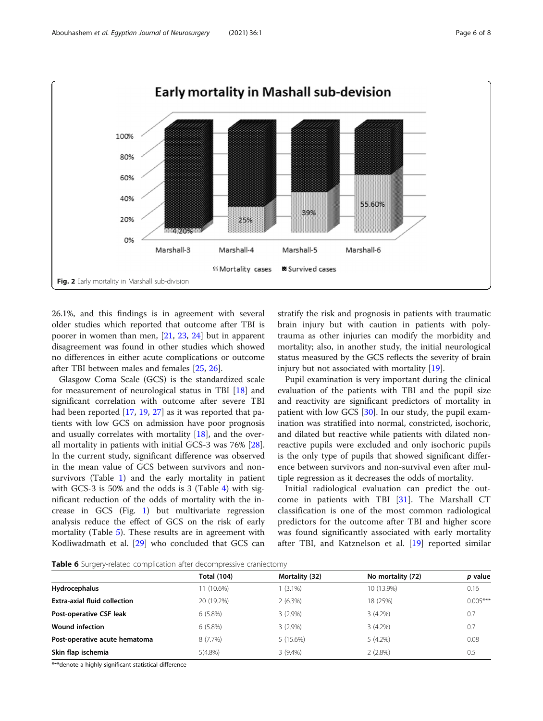<span id="page-5-0"></span>

26.1%, and this findings is in agreement with several older studies which reported that outcome after TBI is poorer in women than men, [[21,](#page-7-0) [23,](#page-7-0) [24](#page-7-0)] but in apparent disagreement was found in other studies which showed no differences in either acute complications or outcome after TBI between males and females [\[25](#page-7-0), [26](#page-7-0)].

Glasgow Coma Scale (GCS) is the standardized scale for measurement of neurological status in TBI [[18\]](#page-7-0) and significant correlation with outcome after severe TBI had been reported [[17](#page-7-0), [19](#page-7-0), [27](#page-7-0)] as it was reported that patients with low GCS on admission have poor prognosis and usually correlates with mortality [[18](#page-7-0)], and the overall mortality in patients with initial GCS-3 was 76% [\[28](#page-7-0)]. In the current study, significant difference was observed in the mean value of GCS between survivors and non-survivors (Table [1](#page-2-0)) and the early mortality in patient with GCS-3 is 50% and the odds is 3 (Table [4](#page-3-0)) with significant reduction of the odds of mortality with the increase in GCS (Fig. [1](#page-4-0)) but multivariate regression analysis reduce the effect of GCS on the risk of early mortality (Table [5\)](#page-4-0). These results are in agreement with Kodliwadmath et al. [\[29](#page-7-0)] who concluded that GCS can

stratify the risk and prognosis in patients with traumatic brain injury but with caution in patients with polytrauma as other injuries can modify the morbidity and mortality; also, in another study, the initial neurological status measured by the GCS reflects the severity of brain injury but not associated with mortality [[19\]](#page-7-0).

Pupil examination is very important during the clinical evaluation of the patients with TBI and the pupil size and reactivity are significant predictors of mortality in patient with low GCS [[30](#page-7-0)]. In our study, the pupil examination was stratified into normal, constricted, isochoric, and dilated but reactive while patients with dilated nonreactive pupils were excluded and only isochoric pupils is the only type of pupils that showed significant difference between survivors and non-survival even after multiple regression as it decreases the odds of mortality.

Initial radiological evaluation can predict the outcome in patients with TBI [[31\]](#page-7-0). The Marshall CT classification is one of the most common radiological predictors for the outcome after TBI and higher score was found significantly associated with early mortality after TBI, and Katznelson et al. [[19\]](#page-7-0) reported similar

Table 6 Surgery-related complication after decompressive craniectomy

|                                     | <b>Total (104)</b> | Mortality (32) | No mortality (72) | p value    |
|-------------------------------------|--------------------|----------------|-------------------|------------|
| Hydrocephalus                       | 11 (10.6%)         | 1 (3.1%)       | 10 (13.9%)        | 0.16       |
| <b>Extra-axial fluid collection</b> | 20 (19.2%)         | $2(6.3\%)$     | 18 (25%)          | $0.005***$ |
| Post-operative CSF leak             | $6(5.8\%)$         | $3(2.9\%)$     | $3(4.2\%)$        | 0.7        |
| <b>Wound infection</b>              | $6(5.8\%)$         | $3(2.9\%)$     | $3(4.2\%)$        | 0.7        |
| Post-operative acute hematoma       | 8 (7.7%)           | 5 (15.6%)      | $5(4.2\%)$        | 0.08       |
| Skin flap ischemia                  | $5(4.8\%)$         | $3(9.4\%)$     | $2(2.8\%)$        | 0.5        |

\*\*\*denote a highly significant statistical difference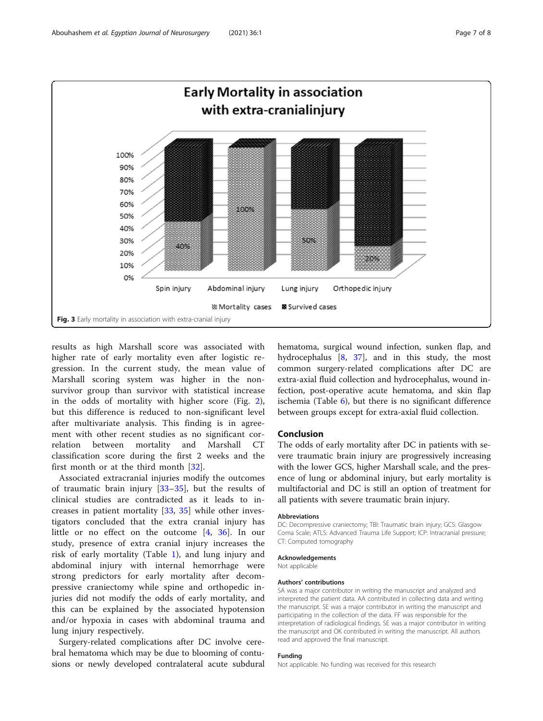<span id="page-6-0"></span>

results as high Marshall score was associated with higher rate of early mortality even after logistic regression. In the current study, the mean value of Marshall scoring system was higher in the nonsurvivor group than survivor with statistical increase in the odds of mortality with higher score (Fig. [2](#page-5-0)), but this difference is reduced to non-significant level after multivariate analysis. This finding is in agreement with other recent studies as no significant correlation between mortality and Marshall CT classification score during the first 2 weeks and the first month or at the third month [\[32](#page-7-0)].

Associated extracranial injuries modify the outcomes of traumatic brain injury [\[33](#page-7-0)–[35](#page-7-0)], but the results of clinical studies are contradicted as it leads to increases in patient mortality [\[33](#page-7-0), [35\]](#page-7-0) while other investigators concluded that the extra cranial injury has little or no effect on the outcome [[4,](#page-7-0) [36](#page-7-0)]. In our study, presence of extra cranial injury increases the risk of early mortality (Table [1](#page-2-0)), and lung injury and abdominal injury with internal hemorrhage were strong predictors for early mortality after decompressive craniectomy while spine and orthopedic injuries did not modify the odds of early mortality, and this can be explained by the associated hypotension and/or hypoxia in cases with abdominal trauma and lung injury respectively.

Surgery-related complications after DC involve cerebral hematoma which may be due to blooming of contusions or newly developed contralateral acute subdural hematoma, surgical wound infection, sunken flap, and hydrocephalus [[8,](#page-7-0) [37](#page-7-0)], and in this study, the most common surgery-related complications after DC are extra-axial fluid collection and hydrocephalus, wound infection, post-operative acute hematoma, and skin flap ischemia (Table  $6$ ), but there is no significant difference between groups except for extra-axial fluid collection.

### Conclusion

The odds of early mortality after DC in patients with severe traumatic brain injury are progressively increasing with the lower GCS, higher Marshall scale, and the presence of lung or abdominal injury, but early mortality is multifactorial and DC is still an option of treatment for all patients with severe traumatic brain injury.

#### Abbreviations

DC: Decompressive craniectomy; TBI: Traumatic brain injury; GCS: Glasgow Coma Scale; ATLS: Advanced Trauma Life Support; ICP: Intracranial pressure; CT: Computed tomography

#### Acknowledgements

Not applicable

#### Authors' contributions

SA was a major contributor in writing the manuscript and analyzed and interpreted the patient data. AA contributed in collecting data and writing the manuscript. SE was a major contributor in writing the manuscript and participating in the collection of the data. FF was responsible for the interpretation of radiological findings. SE was a major contributor in writing the manuscript and OK contributed in writing the manuscript. All authors read and approved the final manuscript.

#### Funding

Not applicable. No funding was received for this research